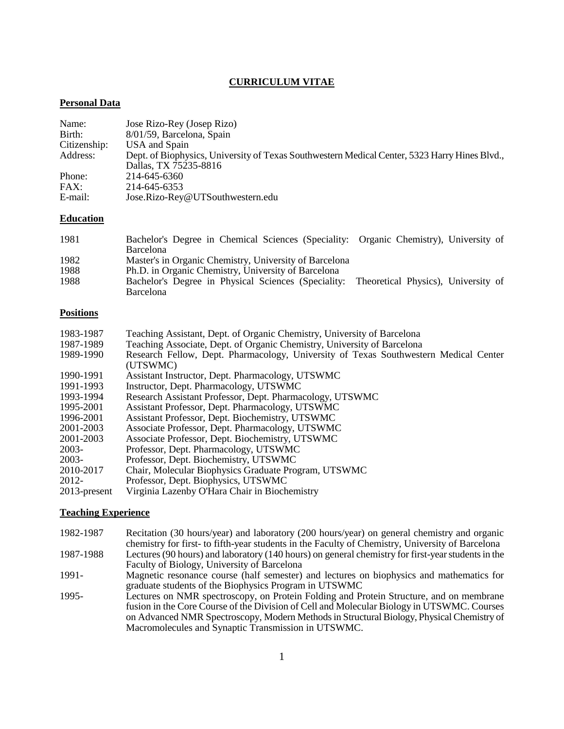# **CURRICULUM VITAE**

# **Personal Data**

| Name:<br>Birth: | Jose Rizo-Rey (Josep Rizo)<br>8/01/59, Barcelona, Spain                                                                |
|-----------------|------------------------------------------------------------------------------------------------------------------------|
| Citizenship:    | USA and Spain                                                                                                          |
| Address:        | Dept. of Biophysics, University of Texas Southwestern Medical Center, 5323 Harry Hines Blvd.,<br>Dallas, TX 75235-8816 |
| Phone:          | 214-645-6360                                                                                                           |
| FAX:            | 214-645-6353                                                                                                           |
| E-mail:         | Jose.Rizo-Rey@UTSouthwestern.edu                                                                                       |

### **Education**

| 1981 | Bachelor's Degree in Chemical Sciences (Speciality: Organic Chemistry), University of   |  |
|------|-----------------------------------------------------------------------------------------|--|
|      | <b>Barcelona</b>                                                                        |  |
| 1982 | Master's in Organic Chemistry, University of Barcelona                                  |  |
| 1988 | Ph.D. in Organic Chemistry, University of Barcelona                                     |  |
| 1988 | Bachelor's Degree in Physical Sciences (Speciality: Theoretical Physics), University of |  |
|      | <b>Barcelona</b>                                                                        |  |

# **Positions**

| 1983-1987       | Teaching Assistant, Dept. of Organic Chemistry, University of Barcelona              |
|-----------------|--------------------------------------------------------------------------------------|
| 1987-1989       | Teaching Associate, Dept. of Organic Chemistry, University of Barcelona              |
| 1989-1990       | Research Fellow, Dept. Pharmacology, University of Texas Southwestern Medical Center |
|                 | (UTSWMC)                                                                             |
| 1990-1991       | Assistant Instructor, Dept. Pharmacology, UTSWMC                                     |
| 1991-1993       | Instructor, Dept. Pharmacology, UTSWMC                                               |
| 1993-1994       | Research Assistant Professor, Dept. Pharmacology, UTSWMC                             |
| 1995-2001       | Assistant Professor, Dept. Pharmacology, UTSWMC                                      |
| 1996-2001       | Assistant Professor, Dept. Biochemistry, UTSWMC                                      |
| 2001-2003       | Associate Professor, Dept. Pharmacology, UTSWMC                                      |
| 2001-2003       | Associate Professor, Dept. Biochemistry, UTSWMC                                      |
| $2003 -$        | Professor, Dept. Pharmacology, UTSWMC                                                |
| $2003 -$        | Professor, Dept. Biochemistry, UTSWMC                                                |
| 2010-2017       | Chair, Molecular Biophysics Graduate Program, UTSWMC                                 |
| 2012-           | Professor, Dept. Biophysics, UTSWMC                                                  |
| $2013$ -present | Virginia Lazenby O'Hara Chair in Biochemistry                                        |

# **Teaching Experience**

| 1982-1987 | Recitation (30 hours/year) and laboratory (200 hours/year) on general chemistry and organic        |
|-----------|----------------------------------------------------------------------------------------------------|
|           | chemistry for first- to fifth-year students in the Faculty of Chemistry, University of Barcelona   |
| 1987-1988 | Lectures (90 hours) and laboratory (140 hours) on general chemistry for first-year students in the |
|           | Faculty of Biology, University of Barcelona                                                        |
| 1991-     | Magnetic resonance course (half semester) and lectures on biophysics and mathematics for           |
|           | graduate students of the Biophysics Program in UTSWMC                                              |
| 1995-     | Lectures on NMR spectroscopy, on Protein Folding and Protein Structure, and on membrane            |
|           | fusion in the Core Course of the Division of Cell and Molecular Biology in UTSWMC. Courses         |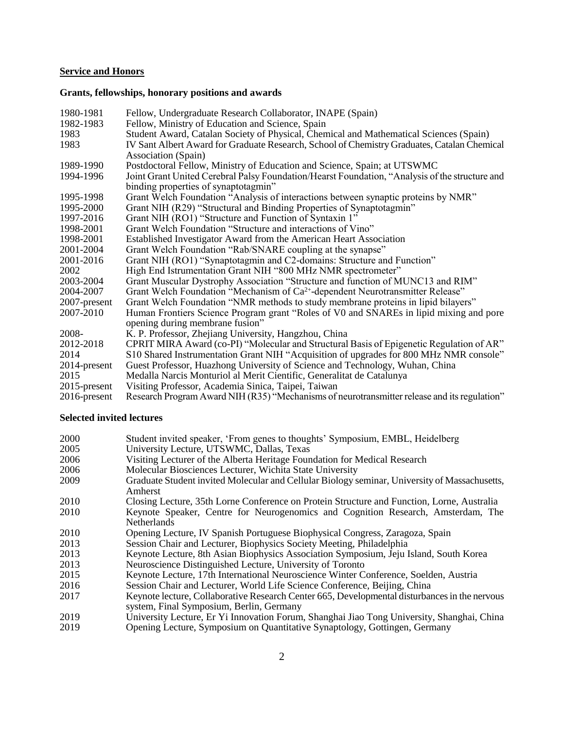### **Service and Honors**

# **Grants, fellowships, honorary positions and awards**

| 1980-1981       | Fellow, Undergraduate Research Collaborator, INAPE (Spain)                                     |
|-----------------|------------------------------------------------------------------------------------------------|
| 1982-1983       | Fellow, Ministry of Education and Science, Spain                                               |
| 1983            | Student Award, Catalan Society of Physical, Chemical and Mathematical Sciences (Spain)         |
| 1983            | IV Sant Albert Award for Graduate Research, School of Chemistry Graduates, Catalan Chemical    |
|                 | Association (Spain)                                                                            |
| 1989-1990       | Postdoctoral Fellow, Ministry of Education and Science, Spain; at UTSWMC                       |
| 1994-1996       | Joint Grant United Cerebral Palsy Foundation/Hearst Foundation, "Analysis of the structure and |
|                 | binding properties of synaptotagmin"                                                           |
| 1995-1998       | Grant Welch Foundation "Analysis of interactions between synaptic proteins by NMR"             |
| 1995-2000       | Grant NIH (R29) "Structural and Binding Properties of Synaptotagmin"                           |
| 1997-2016       | Grant NIH (RO1) "Structure and Function of Syntaxin 1"                                         |
| 1998-2001       | Grant Welch Foundation "Structure and interactions of Vino"                                    |
| 1998-2001       | Established Investigator Award from the American Heart Association                             |
| 2001-2004       | Grant Welch Foundation "Rab/SNARE coupling at the synapse"                                     |
| 2001-2016       | Grant NIH (RO1) "Synaptotagmin and C2-domains: Structure and Function"                         |
| 2002            | High End Istrumentation Grant NIH "800 MHz NMR spectrometer"                                   |
| 2003-2004       | Grant Muscular Dystrophy Association "Structure and function of MUNC13 and RIM"                |
| 2004-2007       | Grant Welch Foundation "Mechanism of Ca <sup>2+</sup> -dependent Neurotransmitter Release"     |
| 2007-present    | Grant Welch Foundation "NMR methods to study membrane proteins in lipid bilayers"              |
| 2007-2010       | Human Frontiers Science Program grant "Roles of V0 and SNAREs in lipid mixing and pore         |
|                 | opening during membrane fusion"                                                                |
| 2008-           | K. P. Professor, Zhejiang University, Hangzhou, China                                          |
| 2012-2018       | CPRIT MIRA Award (co-PI) "Molecular and Structural Basis of Epigenetic Regulation of AR"       |
| 2014            | S10 Shared Instrumentation Grant NIH "Acquisition of upgrades for 800 MHz NMR console"         |
| $2014$ -present | Guest Professor, Huazhong University of Science and Technology, Wuhan, China                   |
| 2015            | Medalla Narcis Monturiol al Merit Cientific, Generalitat de Catalunya                          |
| $2015$ -present | Visiting Professor, Academia Sinica, Taipei, Taiwan                                            |
| $2016$ -present | Research Program Award NIH (R35) "Mechanisms of neurotransmitter release and its regulation"   |

#### **Selected invited lectures**

| 2000 | Student invited speaker, 'From genes to thoughts' Symposium, EMBL, Heidelberg                                                             |
|------|-------------------------------------------------------------------------------------------------------------------------------------------|
| 2005 | University Lecture, UTSWMC, Dallas, Texas                                                                                                 |
| 2006 | Visiting Lecturer of the Alberta Heritage Foundation for Medical Research                                                                 |
| 2006 | Molecular Biosciences Lecturer, Wichita State University                                                                                  |
| 2009 | Graduate Student invited Molecular and Cellular Biology seminar, University of Massachusetts,<br>Amherst                                  |
| 2010 | Closing Lecture, 35th Lorne Conference on Protein Structure and Function, Lorne, Australia                                                |
| 2010 | Keynote Speaker, Centre for Neurogenomics and Cognition Research, Amsterdam, The<br><b>Netherlands</b>                                    |
| 2010 | Opening Lecture, IV Spanish Portuguese Biophysical Congress, Zaragoza, Spain                                                              |
| 2013 | Session Chair and Lecturer, Biophysics Society Meeting, Philadelphia                                                                      |
| 2013 | Keynote Lecture, 8th Asian Biophysics Association Symposium, Jeju Island, South Korea                                                     |
| 2013 | Neuroscience Distinguished Lecture, University of Toronto                                                                                 |
| 2015 | Keynote Lecture, 17th International Neuroscience Winter Conference, Soelden, Austria                                                      |
| 2016 | Session Chair and Lecturer, World Life Science Conference, Beijing, China                                                                 |
| 2017 | Keynote lecture, Collaborative Research Center 665, Developmental disturbances in the nervous<br>system, Final Symposium, Berlin, Germany |
| 2019 | University Lecture, Er Yi Innovation Forum, Shanghai Jiao Tong University, Shanghai, China                                                |
| 2019 | Opening Lecture, Symposium on Quantitative Synaptology, Gottingen, Germany                                                                |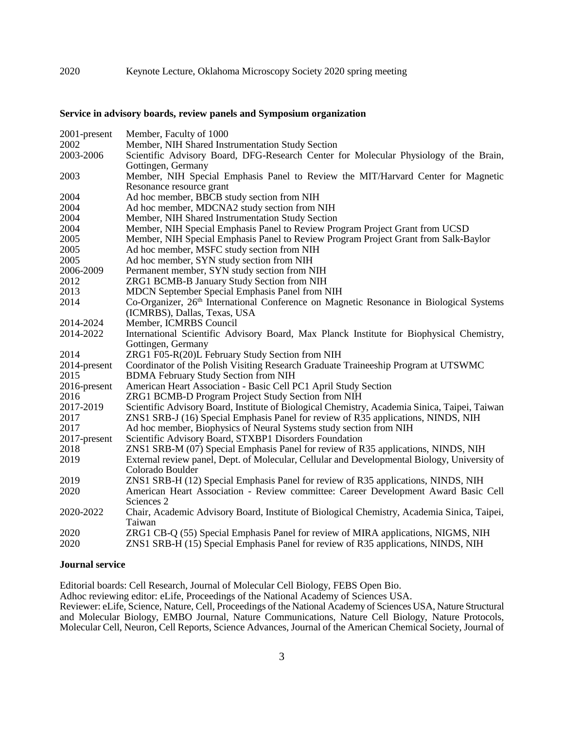#### **Service in advisory boards, review panels and Symposium organization**

| 2001-present | Member, Faculty of 1000                                                                             |
|--------------|-----------------------------------------------------------------------------------------------------|
| 2002         | Member, NIH Shared Instrumentation Study Section                                                    |
| 2003-2006    | Scientific Advisory Board, DFG-Research Center for Molecular Physiology of the Brain,               |
|              | Gottingen, Germany                                                                                  |
| 2003         | Member, NIH Special Emphasis Panel to Review the MIT/Harvard Center for Magnetic                    |
|              | Resonance resource grant                                                                            |
| 2004         | Ad hoc member, BBCB study section from NIH                                                          |
| 2004         | Ad hoc member, MDCNA2 study section from NIH                                                        |
| 2004         | Member, NIH Shared Instrumentation Study Section                                                    |
| 2004         | Member, NIH Special Emphasis Panel to Review Program Project Grant from UCSD                        |
| 2005         | Member, NIH Special Emphasis Panel to Review Program Project Grant from Salk-Baylor                 |
| 2005         | Ad hoc member, MSFC study section from NIH                                                          |
| 2005         | Ad hoc member, SYN study section from NIH                                                           |
| 2006-2009    | Permanent member, SYN study section from NIH                                                        |
| 2012         | ZRG1 BCMB-B January Study Section from NIH                                                          |
| 2013         | MDCN September Special Emphasis Panel from NIH                                                      |
| 2014         | Co-Organizer, 26 <sup>th</sup> International Conference on Magnetic Resonance in Biological Systems |
|              | (ICMRBS), Dallas, Texas, USA                                                                        |
| 2014-2024    | Member, ICMRBS Council                                                                              |
| 2014-2022    | International Scientific Advisory Board, Max Planck Institute for Biophysical Chemistry,            |
|              | Gottingen, Germany                                                                                  |
| 2014         | ZRG1 F05-R(20)L February Study Section from NIH                                                     |
| 2014-present | Coordinator of the Polish Visiting Research Graduate Traineeship Program at UTSWMC                  |
| 2015         | <b>BDMA February Study Section from NIH</b>                                                         |
| 2016-present | American Heart Association - Basic Cell PC1 April Study Section                                     |
| 2016         | ZRG1 BCMB-D Program Project Study Section from NIH                                                  |
| 2017-2019    | Scientific Advisory Board, Institute of Biological Chemistry, Academia Sinica, Taipei, Taiwan       |
| 2017         | ZNS1 SRB-J (16) Special Emphasis Panel for review of R35 applications, NINDS, NIH                   |
| 2017         | Ad hoc member, Biophysics of Neural Systems study section from NIH                                  |
| 2017-present | Scientific Advisory Board, STXBP1 Disorders Foundation                                              |
| 2018         | ZNS1 SRB-M (07) Special Emphasis Panel for review of R35 applications, NINDS, NIH                   |
| 2019         | External review panel, Dept. of Molecular, Cellular and Developmental Biology, University of        |
|              | Colorado Boulder                                                                                    |
| 2019         | ZNS1 SRB-H (12) Special Emphasis Panel for review of R35 applications, NINDS, NIH                   |
| 2020         | American Heart Association - Review committee: Career Development Award Basic Cell                  |
|              | Sciences 2                                                                                          |
| 2020-2022    | Chair, Academic Advisory Board, Institute of Biological Chemistry, Academia Sinica, Taipei,         |
|              | Taiwan                                                                                              |
| 2020         | ZRG1 CB-Q (55) Special Emphasis Panel for review of MIRA applications, NIGMS, NIH                   |
| 2020         | ZNS1 SRB-H (15) Special Emphasis Panel for review of R35 applications, NINDS, NIH                   |

#### **Journal service**

Editorial boards: Cell Research, Journal of Molecular Cell Biology, FEBS Open Bio. Adhoc reviewing editor: eLife, Proceedings of the National Academy of Sciences USA. Reviewer: eLife, Science, Nature, Cell, Proceedings of the National Academy of Sciences USA, Nature Structural and Molecular Biology, EMBO Journal, Nature Communications, Nature Cell Biology, Nature Protocols, Molecular Cell, Neuron, Cell Reports, Science Advances, Journal of the American Chemical Society, Journal of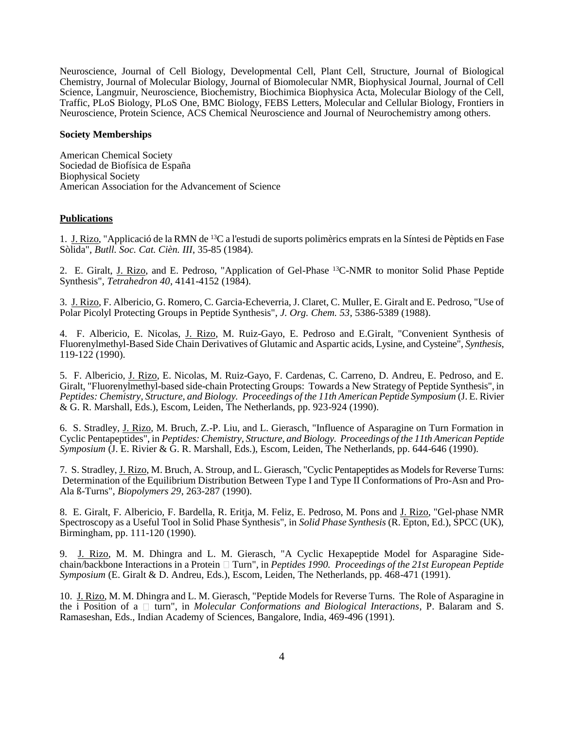Neuroscience, Journal of Cell Biology, Developmental Cell, Plant Cell, Structure, Journal of Biological Chemistry, Journal of Molecular Biology, Journal of Biomolecular NMR, Biophysical Journal, Journal of Cell Science, Langmuir, Neuroscience, Biochemistry, Biochimica Biophysica Acta, Molecular Biology of the Cell, Traffic, PLoS Biology, PLoS One, BMC Biology, FEBS Letters, Molecular and Cellular Biology, Frontiers in Neuroscience, Protein Science, ACS Chemical Neuroscience and Journal of Neurochemistry among others.

#### **Society Memberships**

American Chemical Society Sociedad de Biofísica de España Biophysical Society American Association for the Advancement of Science

#### **Publications**

1. J. Rizo, "Applicació de la RMN de <sup>13</sup>C a l'estudi de suports polimèrics emprats en la Síntesi de Pèptids en Fase Sòlida", *Butll. Soc. Cat. Cièn. III*, 35-85 (1984).

2. E. Giralt, J. Rizo, and E. Pedroso, "Application of Gel-Phase <sup>13</sup>C-NMR to monitor Solid Phase Peptide Synthesis", *Tetrahedron 40*, 4141-4152 (1984).

3. J. Rizo, F. Albericio, G. Romero, C. Garcia-Echeverria, J. Claret, C. Muller, E. Giralt and E. Pedroso, "Use of Polar Picolyl Protecting Groups in Peptide Synthesis", *J. Org. Chem. 53*, 5386-5389 (1988).

4. F. Albericio, E. Nicolas, J. Rizo, M. Ruiz-Gayo, E. Pedroso and E.Giralt, "Convenient Synthesis of Fluorenylmethyl-Based Side Chain Derivatives of Glutamic and Aspartic acids, Lysine, and Cysteine", *Synthesis*, 119-122 (1990).

5. F. Albericio, J. Rizo, E. Nicolas, M. Ruiz-Gayo, F. Cardenas, C. Carreno, D. Andreu, E. Pedroso, and E. Giralt, "Fluorenylmethyl-based side-chain Protecting Groups: Towards a New Strategy of Peptide Synthesis", in *Peptides: Chemistry, Structure, and Biology. Proceedings of the 11th American Peptide Symposium* (J. E. Rivier  $\&$  G. R. Marshall, Eds.), Escom, Leiden, The Netherlands, pp. 923-924 (1990).

6. S. Stradley, J. Rizo, M. Bruch, Z.-P. Liu, and L. Gierasch, "Influence of Asparagine on Turn Formation in Cyclic Pentapeptides", in *Peptides: Chemistry, Structure, and Biology. Proceedings of the 11th American Peptide Symposium* (J. E. Rivier & G. R. Marshall, Eds.), Escom, Leiden, The Netherlands, pp. 644-646 (1990).

7. S. Stradley, J. Rizo, M. Bruch, A. Stroup, and L. Gierasch, "Cyclic Pentapeptides as Models for Reverse Turns: Determination of the Equilibrium Distribution Between Type I and Type II Conformations of Pro-Asn and Pro-Ala ß-Turns", *Biopolymers 29*, 263-287 (1990).

8. E. Giralt, F. Albericio, F. Bardella, R. Eritja, M. Feliz, E. Pedroso, M. Pons and J. Rizo, "Gel-phase NMR Spectroscopy as a Useful Tool in Solid Phase Synthesis", in *Solid Phase Synthesis* (R. Epton, Ed.), SPCC (UK), Birmingham, pp. 111-120 (1990).

9. J. Rizo, M. M. Dhingra and L. M. Gierasch, "A Cyclic Hexapeptide Model for Asparagine Sidechain/backbone Interactions in a Protein  $\Box$  Turn", in *Peptides 1990. Proceedings of the 21st European Peptide Symposium* (E. Giralt & D. Andreu, Eds.), Escom, Leiden, The Netherlands, pp. 468-471 (1991).

10. J. Rizo, M. M. Dhingra and L. M. Gierasch, "Peptide Models for Reverse Turns. The Role of Asparagine in the i Position of a  $\Box$  turn", in *Molecular Conformations and Biological Interactions*, P. Balaram and S. Ramaseshan, Eds., Indian Academy of Sciences, Bangalore, India, 469-496 (1991).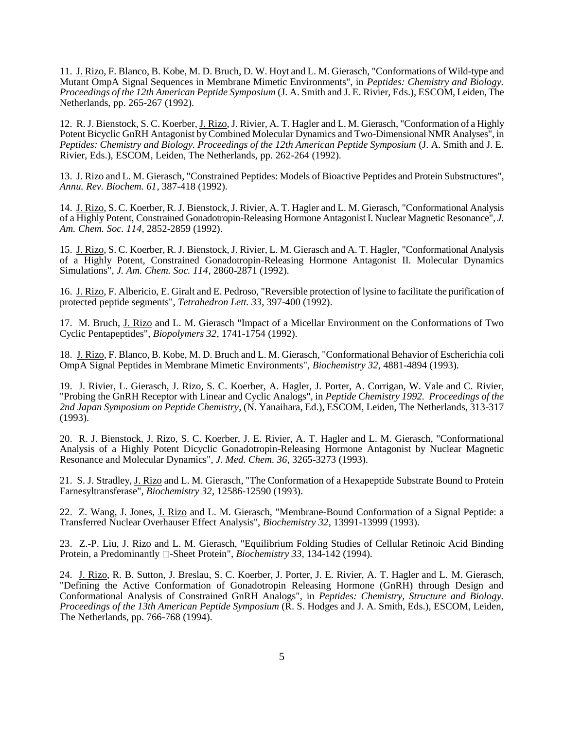11. J. Rizo, F. Blanco, B. Kobe, M. D. Bruch, D. W. Hoyt and L. M. Gierasch, "Conformations of Wild-type and Mutant OmpA Signal Sequences in Membrane Mimetic Environments", in *Peptides: Chemistry and Biology. Proceedings of the 12th American Peptide Symposium* (J. A. Smith and J. E. Rivier, Eds.), ESCOM, Leiden, The Netherlands, pp. 265-267 (1992).

12. R. J. Bienstock, S. C. Koerber, J. Rizo, J. Rivier, A. T. Hagler and L. M. Gierasch, "Conformation of a Highly Potent Bicyclic GnRH Antagonist by Combined Molecular Dynamics and Two-Dimensional NMR Analyses", in *Peptides: Chemistry and Biology. Proceedings of the 12th American Peptide Symposium* (J. A. Smith and J. E. Rivier, Eds.), ESCOM, Leiden, The Netherlands, pp. 262-264 (1992).

13. J. Rizo and L. M. Gierasch, "Constrained Peptides: Models of Bioactive Peptides and Protein Substructures", *Annu. Rev. Biochem. 61*, 387-418 (1992).

14. J. Rizo, S. C. Koerber, R. J. Bienstock, J. Rivier, A. T. Hagler and L. M. Gierasch, "Conformational Analysis of a Highly Potent, Constrained Gonadotropin-Releasing Hormone Antagonist I. Nuclear Magnetic Resonance", *J. Am. Chem. Soc. 114*, 2852-2859 (1992).

15. J. Rizo, S. C. Koerber, R. J. Bienstock, J. Rivier, L. M. Gierasch and A. T. Hagler, "Conformational Analysis of a Highly Potent, Constrained Gonadotropin-Releasing Hormone Antagonist II. Molecular Dynamics Simulations", *J. Am. Chem. Soc. 114*, 2860-2871 (1992).

16. J. Rizo, F. Albericio, E. Giralt and E. Pedroso, "Reversible protection of lysine to facilitate the purification of protected peptide segments", *Tetrahedron Lett. 33*, 397-400 (1992).

17. M. Bruch, J. Rizo and L. M. Gierasch "Impact of a Micellar Environment on the Conformations of Two Cyclic Pentapeptides", *Biopolymers 32*, 1741-1754 (1992).

18. J. Rizo, F. Blanco, B. Kobe, M. D. Bruch and L. M. Gierasch, "Conformational Behavior of Escherichia coli OmpA Signal Peptides in Membrane Mimetic Environments", *Biochemistry 32*, 4881-4894 (1993).

19. J. Rivier, L. Gierasch, J. Rizo, S. C. Koerber, A. Hagler, J. Porter, A. Corrigan, W. Vale and C. Rivier, "Probing the GnRH Receptor with Linear and Cyclic Analogs", in *Peptide Chemistry 1992. Proceedings of the 2nd Japan Symposium on Peptide Chemistry*, (N. Yanaihara, Ed.), ESCOM, Leiden, The Netherlands, 313-317 (1993).

20. R. J. Bienstock, J. Rizo, S. C. Koerber, J. E. Rivier, A. T. Hagler and L. M. Gierasch, "Conformational Analysis of a Highly Potent Dicyclic Gonadotropin-Releasing Hormone Antagonist by Nuclear Magnetic Resonance and Molecular Dynamics", *J. Med. Chem. 36*, 3265-3273 (1993).

21. S. J. Stradley, J. Rizo and L. M. Gierasch, "The Conformation of a Hexapeptide Substrate Bound to Protein Farnesyltransferase", *Biochemistry 32*, 12586-12590 (1993).

22. Z. Wang, J. Jones, J. Rizo and L. M. Gierasch, "Membrane-Bound Conformation of a Signal Peptide: a Transferred Nuclear Overhauser Effect Analysis", *Biochemistry 32*, 13991-13999 (1993).

23. Z.-P. Liu, J. Rizo and L. M. Gierasch, "Equilibrium Folding Studies of Cellular Retinoic Acid Binding Protein, a Predominantly **-Sheet Protein'**, *Biochemistry 33*, 134-142 (1994).

24. J. Rizo, R. B. Sutton, J. Breslau, S. C. Koerber, J. Porter, J. E. Rivier, A. T. Hagler and L. M. Gierasch, "Defining the Active Conformation of Gonadotropin Releasing Hormone (GnRH) through Design and Conformational Analysis of Constrained GnRH Analogs", in *Peptides: Chemistry, Structure and Biology. Proceedings of the 13th American Peptide Symposium* (R. S. Hodges and J. A. Smith, Eds.), ESCOM, Leiden, The Netherlands, pp. 766-768 (1994).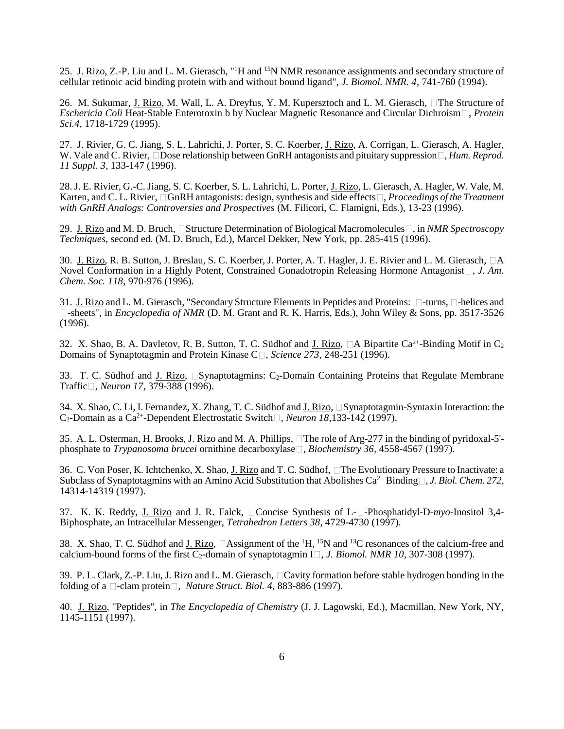25. J. Rizo, Z.-P. Liu and L. M. Gierasch, "<sup>1</sup>H and <sup>15</sup>N NMR resonance assignments and secondary structure of cellular retinoic acid binding protein with and without bound ligand", *J. Biomol. NMR. 4*, 741-760 (1994).

26. M. Sukumar, J. Rizo, M. Wall, L. A. Dreyfus, Y. M. Kupersztoch and L. M. Gierasch,  $\Box$ The Structure of *Eschericia Coli* Heat-Stable Enterotoxin b by Nuclear Magnetic Resonance and Circular Dichroism , *Protein Sci.4*, 1718-1729 (1995).

27. J. Rivier, G. C. Jiang, S. L. Lahrichi, J. Porter, S. C. Koerber, J. Rizo, A. Corrigan, L. Gierasch, A. Hagler, W. Vale and C. Rivier, Dose relationship between GnRH antagonists and pituitary suppression  $\Box$ , *Hum. Reprod. 11 Suppl. 3*, 133-147 (1996).

28. J. E. Rivier, G.-C. Jiang, S. C. Koerber, S. L. Lahrichi, L. Porter, J. Rizo, L. Gierasch, A. Hagler, W. Vale, M. Karten, and C. L. Rivier, □GnRH antagonists: design, synthesis and side effects□, *Proceedings of the Treatment with GnRH Analogs: Controversies and Prospectives* (M. Filicori, C. Flamigni, Eds.), 13-23 (1996).

29. J. Rizo and M. D. Bruch, □ Structure Determination of Biological Macromolecules □, in *NMR Spectroscopy Techniques*, second ed. (M. D. Bruch, Ed.), Marcel Dekker, New York, pp. 285-415 (1996).

30. J. Rizo, R. B. Sutton, J. Breslau, S. C. Koerber, J. Porter, A. T. Hagler, J. E. Rivier and L. M. Gierasch, □A Novel Conformation in a Highly Potent, Constrained Gonadotropin Releasing Hormone Antagonist , J. Am. *Chem. Soc. 118*, 970-976 (1996).

31. J. Rizo and L. M. Gierasch, "Secondary Structure Elements in Peptides and Proteins:  $\Box$ -turns,  $\Box$ -helices and -sheets", in *Encyclopedia of NMR* (D. M. Grant and R. K. Harris, Eds.), John Wiley & Sons, pp. 3517-3526 (1996).

32. X. Shao, B. A. Davletov, R. B. Sutton, T. C. Südhof and J. Rizo,  $\Box A$  Bipartite Ca<sup>2+</sup>-Binding Motif in C<sub>2</sub> Domains of Synaptotagmin and Protein Kinase C□, *Science 273*, 248-251 (1996).

33. T. C. Südhof and J. Rizo,  $\square$ Synaptotagmins: C<sub>2</sub>-Domain Containing Proteins that Regulate Membrane Traffic , *Neuron 17*, 379-388 (1996).

34. X. Shao, C. Li, I. Fernandez, X. Zhang, T. C. Südhof and J. Rizo, Synaptotagmin-Syntaxin Interaction: the  $C_2$ -Domain as a Ca<sup>2+</sup>-Dependent Electrostatic Switch $\Box$ , *Neuron 18*,133-142 (1997).

35. A. L. Osterman, H. Brooks, J. Rizo and M. A. Phillips, The role of Arg-277 in the binding of pyridoxal-5' phosphate to *Trypanosoma brucei* ornithine decarboxylase<sup>[]</sup>, *Biochemistry* 36, 4558-4567 (1997).

36. C. Von Poser, K. Ichtchenko, X. Shao, J. Rizo and T. C. Südhof, The Evolutionary Pressure to Inactivate: a Subclass of Synaptotagmins with an Amino Acid Substitution that Abolishes Ca<sup>2+</sup> Binding  $\Box$ , *J. Biol. Chem.* 272, 14314-14319 (1997).

37. K. K. Reddy, J. Rizo and J. R. Falck, □Concise Synthesis of L-□-Phosphatidyl-D-*myo*-Inositol 3,4-Biphosphate, an Intracellular Messenger, *Tetrahedron Letters 38*, 4729-4730 (1997).

38. X. Shao, T. C. Südhof and J. Rizo,  $\Box$  Assignment of the <sup>1</sup>H, <sup>15</sup>N and <sup>13</sup>C resonances of the calcium-free and calcium-bound forms of the first  $\overline{C_2}$ -domain of synaptotagmin I<sup> $\Box$ </sup>, *J. Biomol. NMR 10*, 307-308 (1997).

39. P. L. Clark, Z.-P. Liu, J. Rizo and L. M. Gierasch,  $\Box$ Cavity formation before stable hydrogen bonding in the folding of a  $\Box$ -clam protein  $\Box$ , *Nature Struct. Biol. 4*, 883-886 (1997).

40. J. Rizo, "Peptides", in *The Encyclopedia of Chemistry* (J. J. Lagowski, Ed.), Macmillan, New York, NY, 1145-1151 (1997).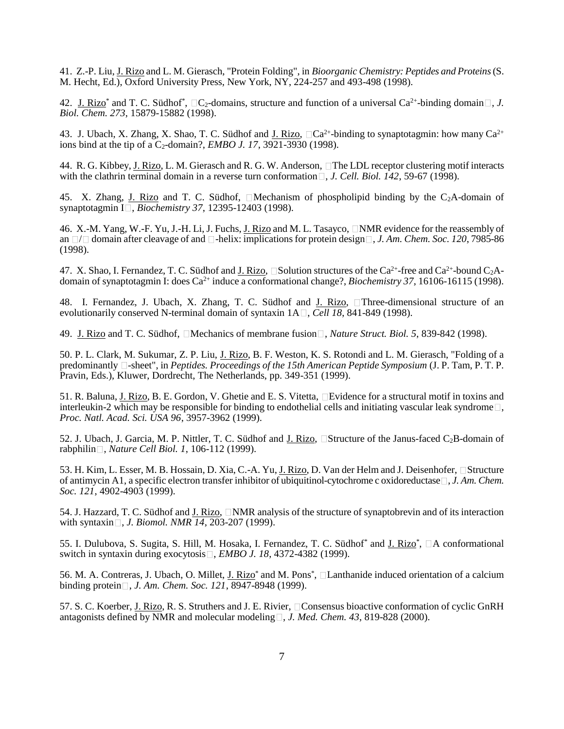41. Z.-P. Liu, J. Rizo and L. M. Gierasch, "Protein Folding", in *Bioorganic Chemistry: Peptides and Proteins*(S. M. Hecht, Ed.), Oxford University Press, New York, NY, 224-257 and 493-498 (1998).

42. J. Rizo<sup>\*</sup> and T. C. Südhof<sup>\*</sup>,  $\Box C_2$ -domains, structure and function of a universal Ca<sup>2+</sup>-binding domain  $\Box$ , *J. Biol. Chem. 273*, 15879-15882 (1998).

43. J. Ubach, X. Zhang, X. Shao, T. C. Südhof and J. Rizo,  $\Box$ Ca<sup>2+</sup>-binding to synaptotagmin: how many Ca<sup>2+</sup> ions bind at the tip of a  $C_2$ -domain?, *EMBO J. 17*, 3921-3930 (1998).

44. R. G. Kibbey, J. Rizo, L. M. Gierasch and R. G. W. Anderson, The LDL receptor clustering motif interacts with the clathrin terminal domain in a reverse turn conformation  $\Box$ , *J. Cell. Biol. 142*, 59-67 (1998).

45. X. Zhang, J. Rizo and T. C. Südhof,  $\Box$ Mechanism of phospholipid binding by the C<sub>2</sub>A-domain of synaptotagmin I , *Biochemistry 37*, 12395-12403 (1998).

46. X.-M. Yang, W.-F. Yu, J.-H. Li, J. Fuchs, J. Rizo and M. L. Tasayco,  $\Box$ NMR evidence for the reassembly of an  $\Box/\Box$  domain after cleavage of and  $\Box$ -helix: implications for protein design  $\Box$ , *J. Am. Chem. Soc. 120*, 7985-86 (1998).

47. X. Shao, I. Fernandez, T. C. Südhof and J. Rizo,  $\square$ Solution structures of the Ca<sup>2+</sup>-free and Ca<sup>2+</sup>-bound C<sub>2</sub>Adomain of synaptotagmin I: does Ca<sup>2+</sup> induce a conformational change?, *Biochemistry 37*, 16106-16115 (1998).

48. I. Fernandez, J. Ubach, X. Zhang, T. C. Südhof and J. Rizo, Three-dimensional structure of an evolutionarily conserved N-terminal domain of syntaxin  $1A \square$ , *Cell 18*, 841-849 (1998).

49. J. Rizo and T. C. Südhof, □Mechanics of membrane fusion□, *Nature Struct. Biol.* 5, 839-842 (1998).

50. P. L. Clark, M. Sukumar, Z. P. Liu, J. Rizo, B. F. Weston, K. S. Rotondi and L. M. Gierasch, "Folding of a predominantly  $\Box$ -sheet", in *Peptides. Proceedings of the 15th American Peptide Symposium* (J. P. Tam, P. T. P. Pravin, Eds.), Kluwer, Dordrecht, The Netherlands, pp. 349-351 (1999).

51. R. Baluna, J. Rizo, B. E. Gordon, V. Ghetie and E. S. Vitetta, **Evidence** for a structural motif in toxins and interleukin-2 which may be responsible for binding to endothelial cells and initiating vascular leak syndrome  $\Box$ , *Proc. Natl. Acad. Sci. USA 96*, 3957-3962 (1999).

52. J. Ubach, J. Garcia, M. P. Nittler, T. C. Südhof and J. Rizo,  $\Box$ Structure of the Janus-faced C<sub>2</sub>B-domain of rabphilin , *Nature Cell Biol. 1*, 106-112 (1999).

53. H. Kim, L. Esser, M. B. Hossain, D. Xia, C.-A. Yu, J. Rizo, D. Van der Helm and J. Deisenhofer, Structure of antimycin A1, a specific electron transfer inhibitor of ubiquitinol-cytochrome c oxidoreductase , *J. Am. Chem. Soc. 121*, 4902-4903 (1999).

54. J. Hazzard, T. C. Südhof and J. Rizo,  $\Box NMR$  analysis of the structure of synaptobrevin and of its interaction with syntaxin □, *J. Biomol. NMR 14*, 203-207 (1999).

55. I. Dulubova, S. Sugita, S. Hill, M. Hosaka, I. Fernandez, T. C. Südhof\* and J. Rizo\*,  $\Box A$  conformational switch in syntaxin during exocytosis  $\Box$ , *EMBO J. 18*, 4372-4382 (1999).

56. M. A. Contreras, J. Ubach, O. Millet, J. Rizo<sup>\*</sup> and M. Pons<sup>\*</sup>, □ Lanthanide induced orientation of a calcium binding protein , *J. Am. Chem. Soc. 121*, 8947-8948 (1999).

57. S. C. Koerber, J. Rizo, R. S. Struthers and J. E. Rivier, Consensus bioactive conformation of cyclic GnRH antagonists defined by NMR and molecular modeling  $\Box$ , *J. Med. Chem.* 43, 819-828 (2000).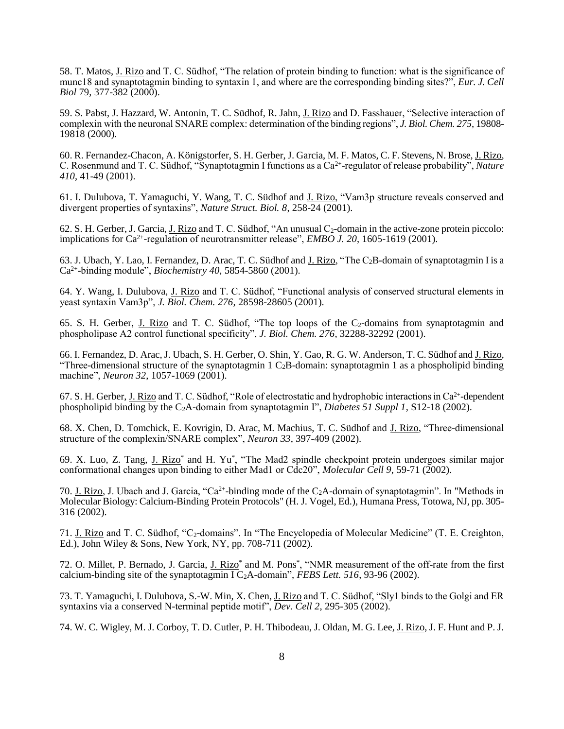58. T. Matos, J. Rizo and T. C. Südhof, "The relation of protein binding to function: what is the significance of munc18 and synaptotagmin binding to syntaxin 1, and where are the corresponding binding sites?", *Eur. J. Cell Biol* 79, 377-382 (2000).

59. S. Pabst, J. Hazzard, W. Antonin, T. C. Südhof, R. Jahn, J. Rizo and D. Fasshauer, "Selective interaction of complexin with the neuronal SNARE complex: determination of the binding regions", *J. Biol. Chem. 275*, 19808- 19818 (2000).

60. R. Fernandez-Chacon, A. Königstorfer, S. H. Gerber, J. Garcia, M. F. Matos, C. F. Stevens, N. Brose, J. Rizo, C. Rosenmund and T. C. Südhof, "Synaptotagmin I functions as a Ca<sup>2+</sup>-regulator of release probability", *Nature 410*, 41-49 (2001).

61. I. Dulubova, T. Yamaguchi, Y. Wang, T. C. Südhof and J. Rizo, "Vam3p structure reveals conserved and divergent properties of syntaxins", *Nature Struct. Biol. 8*, 258-24 (2001).

62. S. H. Gerber, J. Garcia, J. Rizo and T. C. Südhof, "An unusual  $C_2$ -domain in the active-zone protein piccolo: implications for Ca<sup>2+</sup>-regulation of neurotransmitter release", *EMBO J. 20*, 1605-1619 (2001).

63. J. Ubach, Y. Lao, I. Fernandez, D. Arac, T. C. Südhof and J. Rizo, "The C2B-domain of synaptotagmin I is a Ca2+ -binding module", *Biochemistry 40*, 5854-5860 (2001).

64. Y. Wang, I. Dulubova, J. Rizo and T. C. Südhof, "Functional analysis of conserved structural elements in yeast syntaxin Vam3p", *J. Biol. Chem. 276*, 28598-28605 (2001).

65. S. H. Gerber, J. Rizo and T. C. Südhof, "The top loops of the  $C_2$ -domains from synaptotagmin and phospholipase A2 control functional specificity", *J. Biol. Chem. 276*, 32288-32292 (2001).

66. I. Fernandez, D. Arac, J. Ubach, S. H. Gerber, O. Shin, Y. Gao, R. G. W. Anderson, T. C. Südhof and J. Rizo, "Three-dimensional structure of the synaptotagmin 1  $C_2B$ -domain: synaptotagmin 1 as a phospholipid binding machine", *Neuron 32*, 1057-1069 (2001).

67. S. H. Gerber, J. Rizo and T. C. Südhof, "Role of electrostatic and hydrophobic interactions in Ca<sup>2+</sup>-dependent phospholipid binding by the C2A-domain from synaptotagmin I", *Diabetes 51 Suppl 1*, S12-18 (2002).

68. X. Chen, D. Tomchick, E. Kovrigin, D. Arac, M. Machius, T. C. Südhof and J. Rizo, "Three-dimensional structure of the complexin/SNARE complex", *Neuron 33*, 397-409 (2002).

69. X. Luo, Z. Tang, J. Rizo<sup>\*</sup> and H. Yu<sup>\*</sup>, "The Mad2 spindle checkpoint protein undergoes similar major conformational changes upon binding to either Mad1 or Cdc20", *Molecular Cell 9*, 59-71 (2002).

70. J. Rizo, J. Ubach and J. Garcia, "Ca<sup>2+</sup>-binding mode of the C<sub>2</sub>A-domain of synaptotagmin". In "Methods in Molecular Biology: Calcium-Binding Protein Protocols" (H. J. Vogel, Ed.), Humana Press, Totowa, NJ, pp. 305- 316 (2002).

71. J. Rizo and T. C. Südhof, "C<sub>2</sub>-domains". In "The Encyclopedia of Molecular Medicine" (T. E. Creighton, Ed.), John Wiley & Sons, New York, NY, pp. 708-711  $(2002)$ .

72. O. Millet, P. Bernado, J. Garcia, J. Rizo<sup>\*</sup> and M. Pons<sup>\*</sup>, "NMR measurement of the off-rate from the first calcium-binding site of the synaptotagmin I C2A-domain", *FEBS Lett. 516*, 93-96 (2002).

73. T. Yamaguchi, I. Dulubova, S.-W. Min, X. Chen, J. Rizo and T. C. Südhof, "Sly1 binds to the Golgi and ER syntaxins via a conserved N-terminal peptide motif", *Dev. Cell 2*, 295-305 (2002).

74. W. C. Wigley, M. J. Corboy, T. D. Cutler, P. H. Thibodeau, J. Oldan, M. G. Lee, <u>J. Rizo</u>, J. F. Hunt and P. J.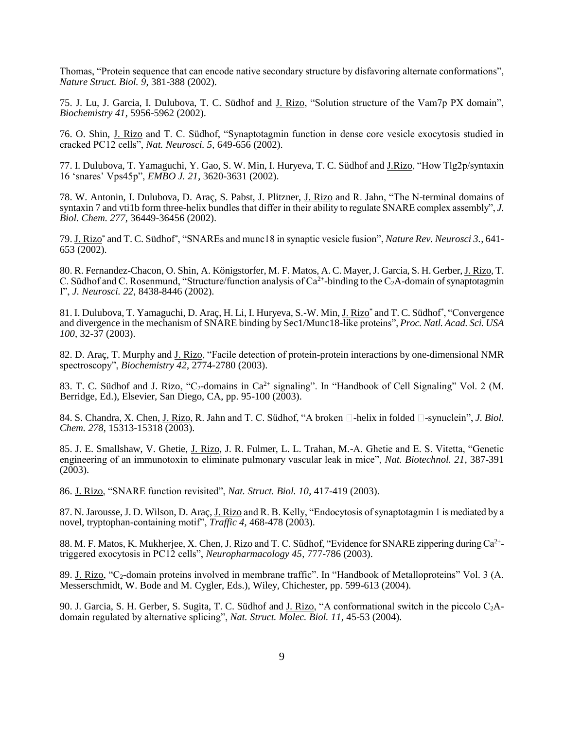Thomas, "Protein sequence that can encode native secondary structure by disfavoring alternate conformations", *Nature Struct. Biol. 9*, 381-388 (2002).

75. J. Lu, J. Garcia, I. Dulubova, T. C. Südhof and J. Rizo, "Solution structure of the Vam7p PX domain", *Biochemistry 41*, 5956-5962 (2002).

76. O. Shin, J. Rizo and T. C. Südhof, "Synaptotagmin function in dense core vesicle exocytosis studied in cracked PC12 cells", *Nat. Neurosci. 5*, 649-656 (2002).

77. I. Dulubova, T. Yamaguchi, Y. Gao, S. W. Min, I. Huryeva, T. C. Südhof and J.Rizo, "How Tlg2p/syntaxin 16 'snares' Vps45p", *EMBO J. 21*, 3620-3631 (2002).

78. W. Antonin, I. Dulubova, D. Araç, S. Pabst, J. Plitzner, J. Rizo and R. Jahn, "The N-terminal domains of syntaxin 7 and vti1b form three-helix bundles that differ in their ability to regulate SNARE complex assembly", *J. Biol. Chem. 277*, 36449-36456 (2002).

79. J. Rizo\* and T. C. Südhof\* , "SNAREs and munc18 in synaptic vesicle fusion", *Nature Rev. Neurosci 3.*, 641- 653 (2002).

80. R. Fernandez-Chacon, O. Shin, A. Königstorfer, M. F. Matos, A. C. Mayer, J. Garcia, S. H. Gerber, J. Rizo, T. C. Südhof and C. Rosenmund, "Structure/function analysis of  $Ca^{2+}$ -binding to the C<sub>2</sub>A-domain of synaptotagmin I", *J. Neurosci. 22*, 8438-8446 (2002).

81. I. Dulubova, T. Yamaguchi, D. Araç, H. Li, I. Huryeva, S.-W. Min, J. Rizo<sup>\*</sup> and T. C. Südhof<sup>\*</sup>, "Convergence and divergence in the mechanism of SNARE binding by Sec1/Munc18-like proteins", *Proc. Natl. Acad. Sci. USA 100*, 32-37 (2003).

82. D. Araç, T. Murphy and J. Rizo, "Facile detection of protein-protein interactions by one-dimensional NMR spectroscopy", *Biochemistry 42*, 2774-2780 (2003).

83. T. C. Südhof and J. Rizo, "C<sub>2</sub>-domains in Ca<sup>2+</sup> signaling". In "Handbook of Cell Signaling" Vol. 2 (M. Berridge, Ed.), Elsevier, San Diego, CA, pp. 95-100 (2003).

84. S. Chandra, X. Chen, J. Rizo, R. Jahn and T. C. Südhof, "A broken  $\Box$ -helix in folded  $\Box$ -synuclein", *J. Biol. Chem. 278*, 15313-15318 (2003).

85. J. E. Smallshaw, V. Ghetie, J. Rizo, J. R. Fulmer, L. L. Trahan, M.-A. Ghetie and E. S. Vitetta, "Genetic engineering of an immunotoxin to eliminate pulmonary vascular leak in mice", *Nat. Biotechnol. 21*, 387-391  $(2003).$ 

86. J. Rizo, "SNARE function revisited", *Nat. Struct. Biol. 10*, 417-419 (2003).

87. N. Jarousse, J. D. Wilson, D. Araç, J. Rizo and R. B. Kelly, "Endocytosis of synaptotagmin 1 is mediated by a novel, tryptophan-containing motif", *Traffic 4*, 468-478 (2003).

88. M. F. Matos, K. Mukherjee, X. Chen, J. Rizo and T. C. Südhof, "Evidence for SNARE zippering during Ca<sup>2+</sup>triggered exocytosis in PC12 cells", *Neuropharmacology 45*, 777-786 (2003).

89. J. Rizo, "C2-domain proteins involved in membrane traffic". In "Handbook of Metalloproteins" Vol. 3 (A. Messerschmidt, W. Bode and M. Cygler, Eds.), Wiley, Chichester, pp. 599-613 (2004).

90. J. Garcia, S. H. Gerber, S. Sugita, T. C. Südhof and J. Rizo, "A conformational switch in the piccolo C2Adomain regulated by alternative splicing", *Nat. Struct. Molec. Biol. 11*, 45-53 (2004).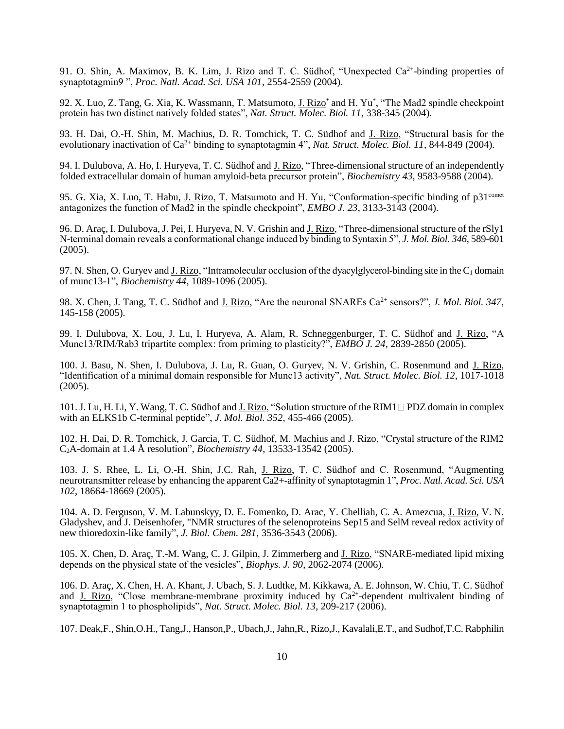91. O. Shin, A. Maximov, B. K. Lim, J. Rizo and T. C. Südhof, "Unexpected Ca<sup>2+</sup>-binding properties of synaptotagmin9 ", *Proc. Natl. Acad. Sci. USA 101*, 2554-2559 (2004).

92. X. Luo, Z. Tang, G. Xia, K. Wassmann, T. Matsumoto, J. Rizo<sup>\*</sup> and H. Yu<sup>\*</sup>, "The Mad2 spindle checkpoint protein has two distinct natively folded states", *Nat. Struct. Molec. Biol. 11*, 338-345 (2004).

93. H. Dai, O.-H. Shin, M. Machius, D. R. Tomchick, T. C. Südhof and J. Rizo, "Structural basis for the evolutionary inactivation of Ca<sup>2+</sup> binding to synaptotagmin 4", *Nat. Struct. Molec. Biol. 11*, 844-849 (2004).

94. I. Dulubova, A. Ho, I. Huryeva, T. C. Südhof and J. Rizo, "Three-dimensional structure of an independently folded extracellular domain of human amyloid-beta precursor protein", *Biochemistry 43*, 9583-9588 (2004).

95. G. Xia, X. Luo, T. Habu, J. Rizo, T. Matsumoto and H. Yu, "Conformation-specific binding of p31<sup>comet</sup> antagonizes the function of Mad2 in the spindle checkpoint", *EMBO J. 23*, 3133-3143 (2004).

96. D. Araç, I. Dulubova, J. Pei, I. Huryeva, N. V. Grishin and J. Rizo, "Three-dimensional structure of the rSly1 N-terminal domain reveals a conformational change induced by binding to Syntaxin 5", *J. Mol. Biol. 346*, 589-601 (2005).

97. N. Shen, O. Guryev and J. Rizo, "Intramolecular occlusion of the dyacylglycerol-binding site in the  $C_1$  domain of munc13-1", *Biochemistry 44*, 1089-1096 (2005).

98. X. Chen, J. Tang, T. C. Südhof and J. Rizo, "Are the neuronal SNAREs Ca2+ sensors?", *J. Mol. Biol. 347*, 145-158 (2005).

99. I. Dulubova, X. Lou, J. Lu, I. Huryeva, A. Alam, R. Schneggenburger, T. C. Südhof and J. Rizo, "A Munc13/RIM/Rab3 tripartite complex: from priming to plasticity?", *EMBO J. 24*, 2839-2850 (2005).

100. J. Basu, N. Shen, I. Dulubova, J. Lu, R. Guan, O. Guryev, N. V. Grishin, C. Rosenmund and J. Rizo, "Identification of a minimal domain responsible for Munc13 activity", *Nat. Struct. Molec. Biol. 12*, 1017-1018 (2005).

101. J. Lu, H. Li, Y. Wang, T. C. Südhof and J. Rizo, "Solution structure of the RIM1  $\Box$  PDZ domain in complex with an ELKS1b C-terminal peptide", *J. Mol. Biol. 352*, 455-466 (2005).

102. H. Dai, D. R. Tomchick, J. Garcia, T. C. Südhof, M. Machius and J. Rizo, "Crystal structure of the RIM2 C2A-domain at 1.4 Å resolution", *Biochemistry 44*, 13533-13542 (2005).

103. J. S. Rhee, L. Li, O.-H. Shin, J.C. Rah, J. Rizo, T. C. Südhof and C. Rosenmund, "Augmenting neurotransmitter release by enhancing the apparent Ca2+-affinity of synaptotagmin 1", *Proc. Natl. Acad. Sci. USA 102*, 18664-18669 (2005).

104. A. D. Ferguson, V. M. Labunskyy, D. E. Fomenko, D. Arac, Y. Chelliah, C. A. Amezcua, J. Rizo, V. N. Gladyshev, and J. Deisenhofer, "NMR structures of the selenoproteins Sep15 and SelM reveal redox activity of new thioredoxin-like family", *J. Biol. Chem. 281*, 3536-3543 (2006).

105. X. Chen, D. Araç, T.-M. Wang, C. J. Gilpin, J. Zimmerberg and J. Rizo, "SNARE-mediated lipid mixing depends on the physical state of the vesicles", *Biophys. J. 90*, 2062-2074 (2006).

106. D. Araç, X. Chen, H. A. Khant, J. Ubach, S. J. Ludtke, M. Kikkawa, A. E. Johnson, W. Chiu, T. C. Südhof and J. Rizo, "Close membrane-membrane proximity induced by  $Ca^{2+}$ -dependent multivalent binding of synaptotagmin 1 to phospholipids", *Nat. Struct. Molec. Biol. 13*, 209-217 (2006).

107. Deak,F., Shin,O.H., Tang,J., Hanson,P., Ubach,J., Jahn,R., Rizo,J., Kavalali,E.T., and Sudhof,T.C. Rabphilin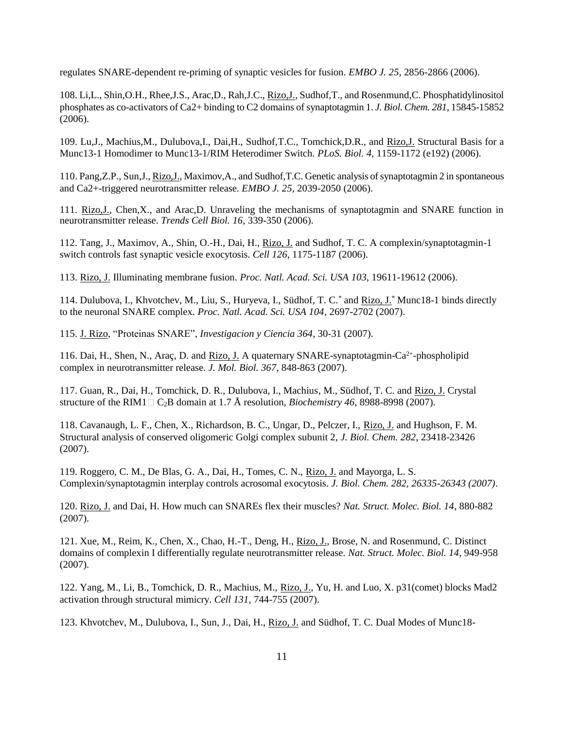regulates SNARE-dependent re-priming of synaptic vesicles for fusion. *EMBO J. 25*, 2856-2866 (2006).

108. Li,L., Shin,O.H., Rhee,J.S., Arac,D., Rah,J.C., Rizo,J., Sudhof,T., and Rosenmund,C. Phosphatidylinositol phosphates as co-activators of Ca2+ binding to C2 domains of synaptotagmin 1. *J. Biol. Chem. 281*, 15845-15852 (2006).

109. Lu,J., Machius,M., Dulubova,I., Dai,H., Sudhof,T.C., Tomchick,D.R., and Rizo,J. Structural Basis for a Munc13-1 Homodimer to Munc13-1/RIM Heterodimer Switch. *PLoS. Biol. 4*, 1159-1172 (e192) (2006).

110. Pang,Z.P., Sun,J., Rizo,J., Maximov,A., and Sudhof,T.C. Genetic analysis of synaptotagmin 2 in spontaneous and Ca2+-triggered neurotransmitter release. *EMBO J. 25*, 2039-2050 (2006).

111. Rizo,J., Chen,X., and Arac,D. Unraveling the mechanisms of synaptotagmin and SNARE function in neurotransmitter release. *Trends Cell Biol. 16*, 339-350 (2006).

112. Tang, J., Maximov, A., Shin, O.-H., Dai, H., Rizo, J. and Sudhof, T. C. A complexin/synaptotagmin-1 switch controls fast synaptic vesicle exocytosis. *Cell 126*, 1175-1187 (2006).

113. Rizo, J. Illuminating membrane fusion. *Proc. Natl. Acad. Sci. USA 103*, 19611-19612 (2006).

114. Dulubova, I., Khvotchev, M., Liu, S., Huryeva, I., Südhof, T. C.\* and Rizo, J.\* Munc18-1 binds directly to the neuronal SNARE complex. *Proc. Natl. Acad. Sci. USA 104*, 2697-2702 (2007).

115. J. Rizo, "Proteinas SNARE", *Investigacion y Ciencia 364*, 30-31 (2007).

116. Dai, H., Shen, N., Araç, D. and Rizo, J. A quaternary SNARE-synaptotagmin-Ca<sup>2+</sup>-phospholipid complex in neurotransmitter release. *J. Mol. Biol. 367*, 848-863 (2007).

117. Guan, R., Dai, H., Tomchick, D. R., Dulubova, I., Machius, M., Südhof, T. C. and Rizo, J. Crystal structure of the RIM1  $\Box$  C<sub>2</sub>B domain at 1.7 Å resolution, *Biochemistry 46*, 8988-8998 (2007).

118. Cavanaugh, L. F., Chen, X., Richardson, B. C., Ungar, D., Pelczer, I., Rizo, J. and Hughson, F. M. Structural analysis of conserved oligomeric Golgi complex subunit 2, *J. Biol. Chem. 282*, 23418-23426 (2007).

119. Roggero, C. M., De Blas, G. A., Dai, H., Tomes, C. N., Rizo, J. and Mayorga, L. S. Complexin/synaptotagmin interplay controls acrosomal exocytosis. *J. Biol. Chem. 282, 26335-26343 (2007)*.

120. Rizo, J. and Dai, H. How much can SNAREs flex their muscles? *Nat. Struct. Molec. Biol. 14*, 880-882 (2007).

121. Xue, M., Reim, K., Chen, X., Chao, H.-T., Deng, H., Rizo, J., Brose, N. and Rosenmund, C. Distinct domains of complexin I differentially regulate neurotransmitter release. *Nat. Struct. Molec. Biol. 14*, 949-958 (2007).

122. Yang, M., Li, B., Tomchick, D. R., Machius, M., Rizo, J., Yu, H. and Luo, X. p31(comet) blocks Mad2 activation through structural mimicry. *Cell 131*, 744-755 (2007).

123. Khvotchev, M., Dulubova, I., Sun, J., Dai, H., Rizo, J. and Südhof, T. C. Dual Modes of Munc18-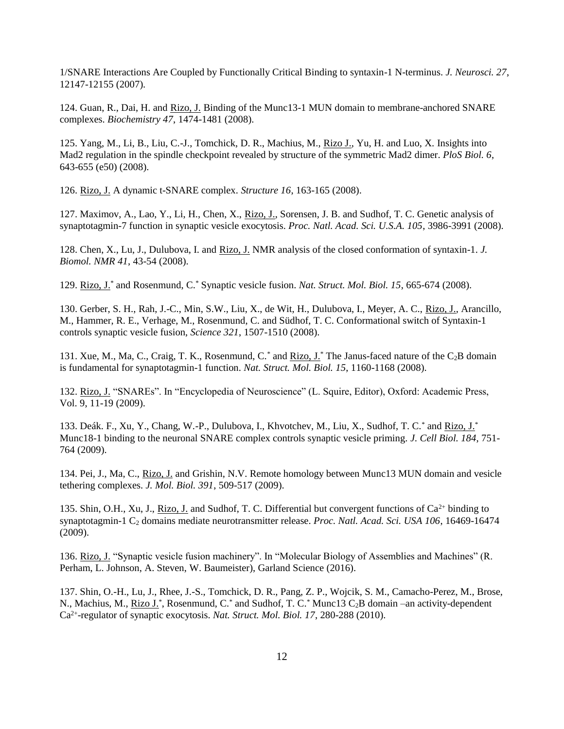1/SNARE Interactions Are Coupled by Functionally Critical Binding to syntaxin-1 N-terminus. *J. Neurosci. 27*, 12147-12155 (2007)*.*

124. Guan, R., Dai, H. and Rizo, J. Binding of the Munc13-1 MUN domain to membrane-anchored SNARE complexes. *Biochemistry 47*, 1474-1481 (2008).

125. Yang, M., Li, B., Liu, C.-J., Tomchick, D. R., Machius, M., Rizo J., Yu, H. and Luo, X. Insights into Mad2 regulation in the spindle checkpoint revealed by structure of the symmetric Mad2 dimer. *PloS Biol. 6*, 643-655 (e50) (2008).

126. Rizo, J. A dynamic t-SNARE complex. *Structure 16*, 163-165 (2008).

127. Maximov, A., Lao, Y., Li, H., Chen, X., Rizo, J., Sorensen, J. B. and Sudhof, T. C. Genetic analysis of synaptotagmin-7 function in synaptic vesicle exocytosis. *Proc. Natl. Acad. Sci. U.S.A. 105*, 3986-3991 (2008).

128. Chen, X., Lu, J., Dulubova, I. and Rizo, J. NMR analysis of the closed conformation of syntaxin-1. *J. Biomol. NMR 41*, 43-54 (2008).

129. Rizo, J.\* and Rosenmund, C.\* Synaptic vesicle fusion. *Nat. Struct. Mol. Biol. 15*, 665-674 (2008).

130. Gerber, S. H., Rah, J.-C., Min, S.W., Liu, X., de Wit, H., Dulubova, I., Meyer, A. C., Rizo, J., Arancillo, M., Hammer, R. E., Verhage, M., Rosenmund, C. and Südhof, T. C. Conformational switch of Syntaxin-1 controls synaptic vesicle fusion, *Science 321*, 1507-1510 (2008).

131. Xue, M., Ma, C., Craig, T. K., Rosenmund, C.\* and Rizo, J.\* The Janus-faced nature of the  $C_2B$  domain is fundamental for synaptotagmin-1 function. *Nat. Struct. Mol. Biol. 15*, 1160-1168 (2008).

132. Rizo, J. "SNAREs". In "Encyclopedia of Neuroscience" (L. Squire, Editor), Oxford: Academic Press, Vol. 9, 11-19 (2009).

133. Deák. F., Xu, Y., Chang, W.-P., Dulubova, I., Khvotchev, M., Liu, X., Sudhof, T. C.\* and Rizo, J.\* Munc18-1 binding to the neuronal SNARE complex controls synaptic vesicle priming. *J. Cell Biol. 184*, 751- 764 (2009).

134. Pei, J., Ma, C., Rizo, J. and Grishin, N.V. Remote homology between Munc13 MUN domain and vesicle tethering complexes. *J. Mol. Biol. 391*, 509-517 (2009).

135. Shin, O.H., Xu, J., Rizo, J. and Sudhof, T. C. Differential but convergent functions of  $Ca^{2+}$  binding to synaptotagmin-1 C<sub>2</sub> domains mediate neurotransmitter release. *Proc. Natl. Acad. Sci. USA 106*, 16469-16474 (2009).

136. Rizo, J. "Synaptic vesicle fusion machinery". In "Molecular Biology of Assemblies and Machines" (R. Perham, L. Johnson, A. Steven, W. Baumeister), Garland Science (2016).

137. Shin, O.-H., Lu, J., Rhee, J.-S., Tomchick, D. R., Pang, Z. P., Wojcik, S. M., Camacho-Perez, M., Brose, N., Machius, M., Rizo J.\*, Rosenmund, C.\* and Sudhof, T. C.\* Munc13 C<sub>2</sub>B domain –an activity-dependent Ca2+ -regulator of synaptic exocytosis. *Nat. Struct. Mol. Biol. 17*, 280-288 (2010).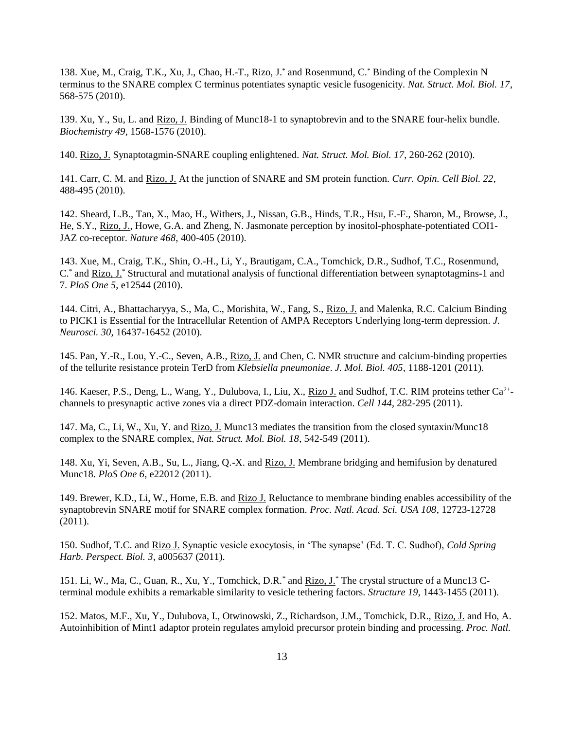138. Xue, M., Craig, T.K., Xu, J., Chao, H.-T., Rizo, J.\* and Rosenmund, C.\* Binding of the Complexin N terminus to the SNARE complex C terminus potentiates synaptic vesicle fusogenicity. *Nat. Struct. Mol. Biol. 17*, 568-575 (2010).

139. Xu, Y., Su, L. and Rizo, J. Binding of Munc18-1 to synaptobrevin and to the SNARE four-helix bundle. *Biochemistry 49*, 1568-1576 (2010).

140. Rizo, J. Synaptotagmin-SNARE coupling enlightened. *Nat. Struct. Mol. Biol. 17*, 260-262 (2010).

141. Carr, C. M. and Rizo, J. At the junction of SNARE and SM protein function. *Curr. Opin. Cell Biol. 22*, 488-495 (2010).

142. Sheard, L.B., Tan, X., Mao, H., Withers, J., Nissan, G.B., Hinds, T.R., Hsu, F.-F., Sharon, M., Browse, J., He, S.Y., Rizo, J., Howe, G.A. and Zheng, N. Jasmonate perception by inositol-phosphate-potentiated COI1- JAZ co-receptor. *Nature 468*, 400-405 (2010).

143. Xue, M., Craig, T.K., Shin, O.-H., Li, Y., Brautigam, C.A., Tomchick, D.R., Sudhof, T.C., Rosenmund, C.\* and Rizo, J.\* Structural and mutational analysis of functional differentiation between synaptotagmins-1 and 7. *PloS One 5*, e12544 (2010).

144. Citri, A., Bhattacharyya, S., Ma, C., Morishita, W., Fang, S., Rizo, J. and Malenka, R.C. Calcium Binding to PICK1 is Essential for the Intracellular Retention of AMPA Receptors Underlying long-term depression. *J. Neurosci. 30*, 16437-16452 (2010).

145. Pan, Y.-R., Lou, Y.-C., Seven, A.B., Rizo, J. and Chen, C. NMR structure and calcium-binding properties of the tellurite resistance protein TerD from *Klebsiella pneumoniae*. *J. Mol. Biol. 405*, 1188-1201 (2011).

146. Kaeser, P.S., Deng, L., Wang, Y., Dulubova, I., Liu, X., Rizo J. and Sudhof, T.C. RIM proteins tether Ca<sup>2+</sup>channels to presynaptic active zones via a direct PDZ-domain interaction. *Cell 144*, 282-295 (2011).

147. Ma, C., Li, W., Xu, Y. and Rizo, J. Munc13 mediates the transition from the closed syntaxin/Munc18 complex to the SNARE complex, *Nat. Struct. Mol. Biol. 18*, 542-549 (2011).

148. Xu, Yi, Seven, A.B., Su, L., Jiang, Q.-X. and Rizo, J. Membrane bridging and hemifusion by denatured Munc18. *PloS One 6*, e22012 (2011).

149. Brewer, K.D., Li, W., Horne, E.B. and Rizo J. Reluctance to membrane binding enables accessibility of the synaptobrevin SNARE motif for SNARE complex formation. *Proc. Natl. Acad. Sci. USA 108*, 12723-12728 (2011).

150. Sudhof, T.C. and Rizo J. Synaptic vesicle exocytosis, in 'The synapse' (Ed. T. C. Sudhof), *Cold Spring Harb. Perspect. Biol. 3*, a005637 (2011).

151. Li, W., Ma, C., Guan, R., Xu, Y., Tomchick, D.R.\* and Rizo, J.\* The crystal structure of a Munc13 Cterminal module exhibits a remarkable similarity to vesicle tethering factors. *Structure 19*, 1443-1455 (2011).

152. Matos, M.F., Xu, Y., Dulubova, I., Otwinowski, Z., Richardson, J.M., Tomchick, D.R., Rizo, J. and Ho, A. Autoinhibition of Mint1 adaptor protein regulates amyloid precursor protein binding and processing. *Proc. Natl.*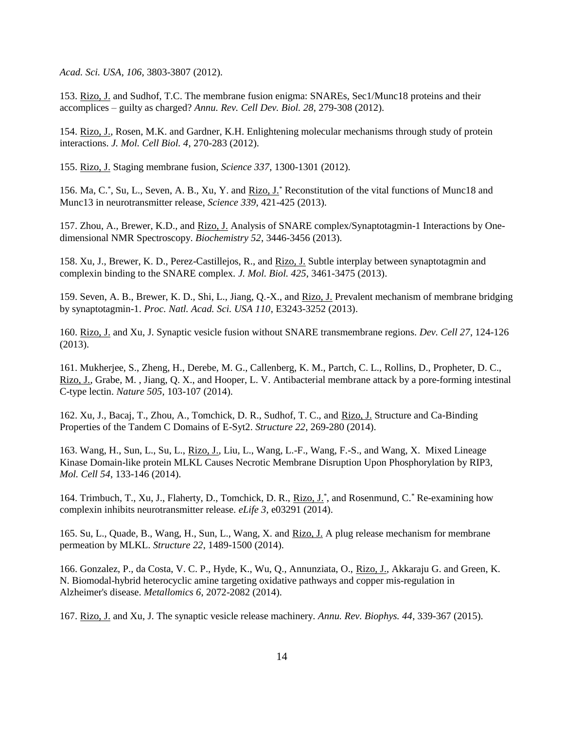*Acad. Sci. USA*, *106*, 3803-3807 (2012).

153. Rizo, J. and Sudhof, T.C. The membrane fusion enigma: SNAREs, Sec1/Munc18 proteins and their accomplices – guilty as charged? *Annu. Rev. Cell Dev. Biol. 28*, 279-308 (2012).

154. Rizo, J., Rosen, M.K. and Gardner, K.H. Enlightening molecular mechanisms through study of protein interactions. *J. Mol. Cell Biol. 4*, 270-283 (2012).

155. Rizo, J. Staging membrane fusion, *Science 337*, 1300-1301 (2012).

156. Ma, C.\*, Su, L., Seven, A. B., Xu, Y. and Rizo, J.\* Reconstitution of the vital functions of Munc18 and Munc13 in neurotransmitter release, *Science 339*, 421-425 (2013).

157. Zhou, A., Brewer, K.D., and Rizo, J. Analysis of SNARE complex/Synaptotagmin-1 Interactions by Onedimensional NMR Spectroscopy. *Biochemistry 52*, 3446-3456 (2013).

158. Xu, J., Brewer, K. D., Perez-Castillejos, R., and Rizo, J. Subtle interplay between synaptotagmin and complexin binding to the SNARE complex. *J. Mol. Biol. 425*, 3461-3475 (2013).

159. Seven, A. B., Brewer, K. D., Shi, L., Jiang, Q.-X., and Rizo, J. Prevalent mechanism of membrane bridging by synaptotagmin-1. *Proc. Natl. Acad. Sci. USA 110*, E3243-3252 (2013).

160. Rizo, J. and Xu, J. Synaptic vesicle fusion without SNARE transmembrane regions. *Dev. Cell 27*, 124-126 (2013).

161. Mukherjee, S., Zheng, H., Derebe, M. G., Callenberg, K. M., Partch, C. L., Rollins, D., Propheter, D. C., Rizo, J., Grabe, M., Jiang, Q. X., and Hooper, L. V. Antibacterial membrane attack by a pore-forming intestinal C-type lectin. *Nature 505*, 103-107 (2014).

162. Xu, J., Bacaj, T., Zhou, A., Tomchick, D. R., Sudhof, T. C., and Rizo, J. Structure and Ca-Binding Properties of the Tandem C Domains of E-Syt2. *Structure 22*, 269-280 (2014).

163. Wang, H., Sun, L., Su, L., Rizo, J., Liu, L., Wang, L.-F., Wang, F.-S., and Wang, X. Mixed Lineage Kinase Domain-like protein MLKL Causes Necrotic Membrane Disruption Upon Phosphorylation by RIP3, *Mol. Cell 54*, 133-146 (2014).

164. Trimbuch, T., Xu, J., Flaherty, D., Tomchick, D. R., Rizo, J.\*, and Rosenmund, C.\* Re-examining how complexin inhibits neurotransmitter release. *eLife 3*, e03291 (2014).

165. Su, L., Quade, B., Wang, H., Sun, L., Wang, X. and Rizo, J. A plug release mechanism for membrane permeation by MLKL. *Structure 22*, 1489-1500 (2014).

166. Gonzalez, P., da Costa, V. C. P., Hyde, K., Wu, Q., Annunziata, O., Rizo, J., Akkaraju G. and Green, K. N. Biomodal-hybrid heterocyclic amine targeting oxidative pathways and copper mis-regulation in Alzheimer's disease. *Metallomics 6*, 2072-2082 (2014).

167. Rizo, J. and Xu, J. The synaptic vesicle release machinery. *Annu. Rev. Biophys. 44*, 339-367 (2015).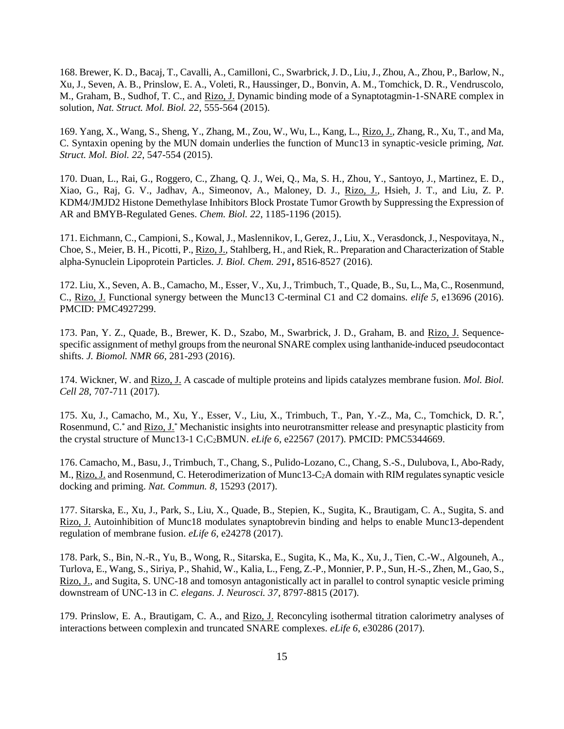168. Brewer, K. D., Bacaj, T., Cavalli, A., Camilloni, C., Swarbrick, J. D., Liu, J., Zhou, A., Zhou, P., Barlow, N., Xu, J., Seven, A. B., Prinslow, E. A., Voleti, R., Haussinger, D., Bonvin, A. M., Tomchick, D. R., Vendruscolo, M., Graham, B., Sudhof, T. C., and Rizo, J. Dynamic binding mode of a Synaptotagmin-1-SNARE complex in solution, *Nat. Struct. Mol. Biol. 22*, 555-564 (2015).

169. Yang, X., Wang, S., Sheng, Y., Zhang, M., Zou, W., Wu, L., Kang, L., Rizo, J., Zhang, R., Xu, T., and Ma, C. Syntaxin opening by the MUN domain underlies the function of Munc13 in synaptic-vesicle priming, *Nat. Struct. Mol. Biol. 22*, 547-554 (2015).

170. Duan, L., Rai, G., Roggero, C., Zhang, Q. J., Wei, Q., Ma, S. H., Zhou, Y., Santoyo, J., Martinez, E. D., Xiao, G., Raj, G. V., Jadhav, A., Simeonov, A., Maloney, D. J., Rizo, J., Hsieh, J. T., and Liu, Z. P. KDM4/JMJD2 Histone Demethylase Inhibitors Block Prostate Tumor Growth by Suppressing the Expression of AR and BMYB-Regulated Genes. *Chem. Biol. 22*, 1185-1196 (2015).

171. Eichmann, C., Campioni, S., Kowal, J., Maslennikov, I., Gerez, J., Liu, X., Verasdonck,J., Nespovitaya, N., Choe, S., Meier, B. H., Picotti, P., Rizo, J., Stahlberg, H., and Riek, R.. Preparation and Characterization of Stable alpha-Synuclein Lipoprotein Particles. *J. Biol. Chem. 291***,** 8516-8527 (2016).

172. Liu, X., Seven, A. B., Camacho, M., Esser, V., Xu, J., Trimbuch, T., Quade, B., Su, L., Ma, C., Rosenmund, C., Rizo, J. Functional synergy between the Munc13 C-terminal C1 and C2 domains. *elife 5*, e13696 (2016). PMCID: PMC4927299.

173. Pan, Y. Z., Quade, B., Brewer, K. D., Szabo, M., Swarbrick, J. D., Graham, B. and Rizo, J. Sequencespecific assignment of methyl groups from the neuronal SNARE complex using lanthanide-induced pseudocontact shifts. *J. Biomol. NMR 66*, 281-293 (2016).

174. Wickner, W. and Rizo, J. A cascade of multiple proteins and lipids catalyzes membrane fusion. *Mol. Biol. Cell 28*, 707-711 (2017).

175. Xu, J., Camacho, M., Xu, Y., Esser, V., Liu, X., Trimbuch, T., Pan, Y.-Z., Ma, C., Tomchick, D. R.\* , Rosenmund, C.\* and Rizo, J.\* Mechanistic insights into neurotransmitter release and presynaptic plasticity from the crystal structure of Munc13-1 C<sub>1</sub>C<sub>2</sub>BMUN. *eLife* 6, e22567 (2017). PMCID: PMC5344669.

176. Camacho, M., Basu, J., Trimbuch, T., Chang, S., Pulido-Lozano, C., Chang, S.-S., Dulubova, I., Abo-Rady, M., Rizo, J. and Rosenmund, C. Heterodimerization of Munc13-C<sub>2</sub>A domain with RIM regulates synaptic vesicle docking and priming. *Nat. Commun. 8*, 15293 (2017).

177. Sitarska, E., Xu, J., Park, S., Liu, X., Quade, B., Stepien, K., Sugita, K., Brautigam, C. A., Sugita, S. and Rizo, J. Autoinhibition of Munc18 modulates synaptobrevin binding and helps to enable Munc13-dependent regulation of membrane fusion. *eLife 6*, e24278 (2017).

178. Park, S., Bin, N.-R., Yu, B., Wong, R., Sitarska, E., Sugita, K., Ma, K., Xu, J., Tien, C.-W., Algouneh, A., Turlova, E., Wang, S., Siriya, P., Shahid, W., Kalia, L., Feng, Z.-P., Monnier, P. P., Sun, H.-S., Zhen, M., Gao, S., Rizo, J., and Sugita, S. UNC-18 and tomosyn antagonistically act in parallel to control synaptic vesicle priming downstream of UNC-13 in *C. elegans*. *J. Neurosci. 37*, 8797-8815 (2017).

179. Prinslow, E. A., Brautigam, C. A., and Rizo, J. Reconcyling isothermal titration calorimetry analyses of interactions between complexin and truncated SNARE complexes. *eLife 6*, e30286 (2017).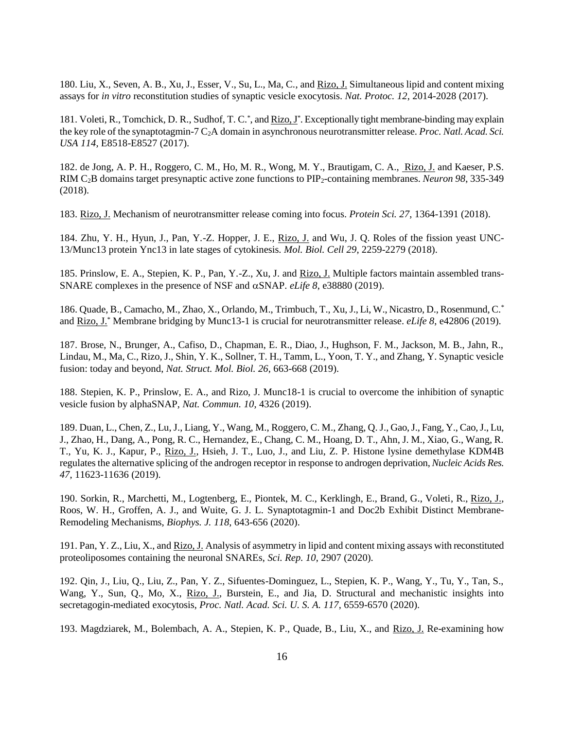180. Liu, X., Seven, A. B., Xu, J., Esser, V., Su, L., Ma, C., and Rizo, J. Simultaneous lipid and content mixing assays for *in vitro* reconstitution studies of synaptic vesicle exocytosis. *Nat. Protoc. 12*, 2014-2028 (2017).

181. Voleti, R., Tomchick, D. R., Sudhof, T. C.\*, and Rizo, J\*. Exceptionally tight membrane-binding may explain the key role of the synaptotagmin-7 C2A domain in asynchronous neurotransmitter release. *Proc. Natl. Acad. Sci. USA 114*, E8518-E8527 (2017).

182. de Jong, A. P. H., Roggero, C. M., Ho, M. R., Wong, M. Y., Brautigam, C. A., Rizo, J. and Kaeser, P.S. RIM C2B domains target presynaptic active zone functions to PIP2-containing membranes. *Neuron 98*, 335-349 (2018).

183. Rizo, J. Mechanism of neurotransmitter release coming into focus. *Protein Sci. 27*, 1364-1391 (2018).

184. Zhu, Y. H., Hyun, J., Pan, Y.-Z. Hopper, J. E., Rizo, J. and Wu, J. Q. Roles of the fission yeast UNC-13/Munc13 protein Ync13 in late stages of cytokinesis. *Mol. Biol. Cell 29*, 2259-2279 (2018).

185. Prinslow, E. A., Stepien, K. P., Pan, Y.-Z., Xu, J. and Rizo, J. Multiple factors maintain assembled trans-SNARE complexes in the presence of NSF and  $\alpha$ SNAP. *eLife* 8, e38880 (2019).

186. Quade, B., Camacho, M., Zhao, X., Orlando, M., Trimbuch, T., Xu, J., Li, W., Nicastro, D., Rosenmund, C.\* and Rizo, J.\* Membrane bridging by Munc13-1 is crucial for neurotransmitter release. *eLife 8*, e42806 (2019).

187. Brose, N., Brunger, A., Cafiso, D., Chapman, E. R., Diao, J., Hughson, F. M., Jackson, M. B., Jahn, R., Lindau, M., Ma, C., Rizo, J., Shin, Y. K., Sollner, T. H., Tamm, L., Yoon, T. Y., and Zhang, Y. Synaptic vesicle fusion: today and beyond, *Nat. Struct. Mol. Biol. 26*, 663-668 (2019).

188. Stepien, K. P., Prinslow, E. A., and Rizo, J. Munc18-1 is crucial to overcome the inhibition of synaptic vesicle fusion by alphaSNAP, *Nat. Commun. 10*, 4326 (2019).

189. Duan, L., Chen, Z., Lu, J., Liang, Y., Wang, M., Roggero, C. M., Zhang, Q. J., Gao, J., Fang, Y., Cao, J., Lu, J., Zhao, H., Dang, A., Pong, R. C., Hernandez, E., Chang, C. M., Hoang, D. T., Ahn, J. M., Xiao, G., Wang, R. T., Yu, K. J., Kapur, P., Rizo, J., Hsieh, J. T., Luo, J., and Liu, Z. P. Histone lysine demethylase KDM4B regulates the alternative splicing of the androgen receptor in response to androgen deprivation, *Nucleic Acids Res. 47*, 11623-11636 (2019).

190. Sorkin, R., Marchetti, M., Logtenberg, E., Piontek, M. C., Kerklingh, E., Brand, G., Voleti, R., Rizo, J., Roos, W. H., Groffen, A. J., and Wuite, G. J. L. Synaptotagmin-1 and Doc2b Exhibit Distinct Membrane-Remodeling Mechanisms, *Biophys. J. 118*, 643-656 (2020).

191. Pan, Y. Z., Liu, X., and Rizo, J. Analysis of asymmetry in lipid and content mixing assays with reconstituted proteoliposomes containing the neuronal SNAREs, *Sci. Rep. 10*, 2907 (2020).

192. Qin, J., Liu, Q., Liu, Z., Pan, Y. Z., Sifuentes-Dominguez, L., Stepien, K. P., Wang, Y., Tu, Y., Tan, S., Wang, Y., Sun, Q., Mo, X., Rizo, J., Burstein, E., and Jia, D. Structural and mechanistic insights into secretagogin-mediated exocytosis, *Proc. Natl. Acad. Sci. U. S. A. 117*, 6559-6570 (2020).

193. Magdziarek, M., Bolembach, A. A., Stepien, K. P., Quade, B., Liu, X., and Rizo, J. Re-examining how